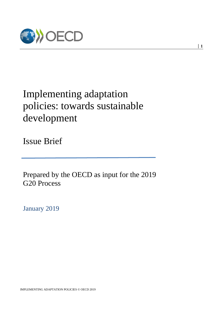

# Implementing adaptation policies: towards sustainable development

Issue Brief

Prepared by the OECD as input for the 2019 G20 Process

January 2019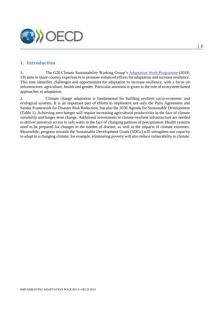

# **1. Introduction**

1. The G20 Climate Sustainability Working Group's Adaptation Work Programme (2018- 19) aims to share country experiences to promote enhanced efforts for adaptation and increase resilience. This note identifies challenges and opportunities for adaptation to increase resilience, with a focus on infrastructure, agriculture, health and gender. Particular attention is given to the role of ecosystem-based approaches to adaptation.

2. Climate change adaptation is fundamental for building resilient socio-economic and ecological systems. It is an important part of efforts to implement not only the Paris Agreement and Sendai Framework for Disaster Risk Reduction, but also the 2030 Agenda for Sustainable Development [\(Table](#page-2-0) 1). Achieving zero hunger will require increasing agricultural productivity in the face of climate variability and longer-term change. Additional investments in climate-resilient infrastructure are needed to deliver universal access to safe water in the face of changing patterns of precipitation. Health systems need to be prepared for changes in the burden of disease, as well as the impacts of climate extremes. Meanwhile, progress towards the Sustainable Development Goals (SDGs) will strengthen our capacity to adapt to a changing climate: for example, eliminating poverty will also reduce vulnerability to climate.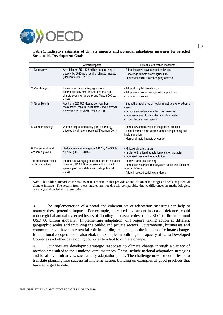

#### <span id="page-2-0"></span>**Table 1. Indicative estimates of climate impacts and potential adaptation measures for selected Sustainable Development Goals**

|                                           | Potential impacts                                                                                                                                                | Potential adaptation measures                                                                                                                                                                           |  |  |
|-------------------------------------------|------------------------------------------------------------------------------------------------------------------------------------------------------------------|---------------------------------------------------------------------------------------------------------------------------------------------------------------------------------------------------------|--|--|
| 1: No poverty                             | An additional 35 - 122 million people living in<br>poverty by 2030 as a result of climate impacts<br>(Hallegatte et al., 2015)                                   | - Adopt inclusive development pathways<br>- Encourage climate-smart agriculture<br>- Implement social protection programmes                                                                             |  |  |
| 2: Zero hunger                            | Increase in prices of key agricultural<br>commodities by 30% in 2050 under a high<br>climate scenario (Ignaciuk and Mason-D'Croz,<br>2014)                       | - Adopt drought-tolerant crops<br>- Adopt more productive agricultural practices<br>- Reduce food waste                                                                                                 |  |  |
| 3: Good Health                            | Additional 250 000 deaths per year from<br>malnutrition, malaria, heat stress and diarrhoea<br>between 2030 to 2050 (WHO, 2014)                                  | - Strengthen resilience of health infrastructure to extreme<br>events<br>- Improve surveillance of infectious diseases<br>- Increase access to sanitation and clean water<br>- Expand urban green space |  |  |
| 5: Gender equality                        | Women disproportionately (and differently)<br>affected by climate impacts (UN Women, 2018)                                                                       | - Increase women's voice in the political process<br>- Ensure women's inclusion in adaptation planning and<br>implementation<br>- Monitor climate impacts by gender                                     |  |  |
| 8: Decent work and<br>economic growth     | Reduction in average global GDP by 1 - 3.3 %<br>by 2060 (OECD, 2015)                                                                                             | - Mitigate climate change<br>- Implement national adaptation plans or strategies<br>- Increase investment in adaptation                                                                                 |  |  |
| 11: Sustainable cities<br>and communities | Increase in average global flood losses in coastal<br>cities to USD 1 trillion per year with constant<br>spending on flood defences (Hallegatte et al.,<br>2013) | - Improve land-use planning<br>- Increase investment in ecosystem-based and traditional<br>coastal defences<br>- Adopt improved building standards                                                      |  |  |

*Note*: This table summarises the results of recent studies that provide an indication of the range and scale of potential climate impacts. The results from these studies are not directly comparable, due to differences in methodologies, coverage and underlying assumptions.

3. The implementation of a broad and coherent set of adaptation measures can help to manage these potential impacts. For example, increased investment in coastal defences could reduce global annual expected losses of flooding in coastal cities from USD 1 trillion to around USD 60 billion globally. 1 Implementing adaptation will require taking action at different geographic scales and involving the public and private sectors. Governments, businesses and communities all have an essential role in building resilience to the impacts of climate change. International co-operation is also vital, for example, in building the capacity of Least Developed Countries and other developing countries to adapt to climate change.

4. Countries are developing strategic responses to climate change through a variety of mechanisms suited to their national circumstances. These include national adaptation strategies and local-level initiatives, such as city adaptation plans. The challenge now for countries is to translate planning into successful implementation, building on examples of good practices that have emerged to date.

**│ 3**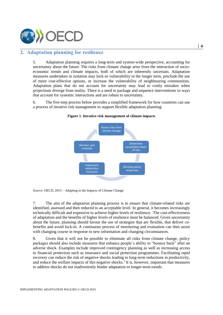

# **2. Adaptation planning for resilience**

5. Adaptation planning requires a long-term and system-wide perspective, accounting for uncertainty about the future. The risks from climate change arise from the interaction of socioeconomic trends and climate impacts, both of which are inherently uncertain. Adaptation measures undertaken in isolation may lock-in vulnerability in the longer term, preclude the use of more cost-effective options, or increase the vulnerability of neighbouring communities. Adaptation plans that do not account for uncertainty may lead to costly mistakes when projections diverge from reality. There is a need to package and sequence interventions in ways that account for systemic interactions and are robust to uncertainty.

6. The five-step process below provides a simplified framework for how countries can use a process of iterative risk management to support flexible adaptation planning:



#### **Figure 1. Iterative risk management of climate impacts**

*Source*: OECD, 2015 – Adapting to the Impacts of Climate Change

7. The aim of the adaptation planning process is to ensure that climate-related risks are identified, assessed and then reduced to an acceptable level. In general, it becomes increasingly technically difficult and expensive to achieve higher levels of resilience. The cost-effectiveness of adaptation and the benefits of higher levels of resilience must be balanced. Given uncertainty about the future, planning should favour the use of strategies that are flexible, that deliver cobenefits and avoid lock-in. A continuous process of monitoring and evaluation can then assist with changing course in response to new information and changing circumstances.

8. Given that it will not be possible to eliminate all risks from climate change, policy packages should also include measures that enhance people's ability to "bounce back" after an adverse shock. Examples include improved contingency planning as well as increasing access to financial protection such as insurance and social protection programmes. Facilitating rapid recovery can reduce the risk of negative shocks leading to long-term reductions in productivity, and reduce the welfare impacts of this negative shocks.<sup>2</sup> It is, however, important that measures to address shocks do not inadvertently hinder adaptation to longer-term trends.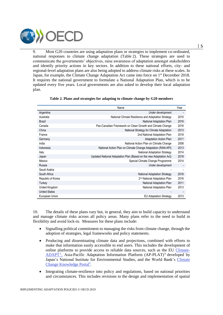

9. Most G20 countries are using adaptation plans or strategies to implement co-ordinated, national responses to climate change adaptation [\(Table](#page-4-0) 2). These strategies are used to communicate the governments' objectives, raise awareness of adaptation amongst stakeholders and identify priority actions in key sectors. In addition to these national efforts, city- and regional-level adaptation plans are also being adopted to address climate risks at these scales. In Japan, for example, the Climate Change Adaptation Act came into force on 1<sup>st</sup> December 2018. It requires the national government to formulate a National Adaptation Plan, which is to be updated every five years. Local governments are also asked to develop their local adaptation plan.

<span id="page-4-0"></span>

|                      | Name                                                               | Year |
|----------------------|--------------------------------------------------------------------|------|
| Argentina            | Under development                                                  |      |
| Australia            | National Climate Resilience and Adaptation Strategy                | 2015 |
| <b>Brazil</b>        | National Adaptation Plan                                           | 2016 |
| Canada               | Pan-Canadian Framework on Clean Growth and Climate Change          | 2016 |
| China                | National Strategy for Climate Adaptation                           | 2013 |
| France               | 2nd National Adaptation Plan                                       | 2018 |
| Germany              | <b>Adaptation Action Plan</b>                                      | 2011 |
| India                | National Action Plan on Climate Change                             | 2008 |
| Indonesia            | National Action Plan on Climate Change Adaptation (RAN-API)        | 2013 |
| Italy                | National Adaptation Strategy                                       | 2014 |
| Japan                | Updated National Adaptation Plan (Based on the new Adaptation Act) | 2018 |
| Mexico               | Special Climate Change Programme                                   | 2014 |
| Russia               | Under development                                                  |      |
| Saudi Arabia         |                                                                    |      |
| South Africa         | <b>National Adaptation Strategy</b>                                | 2016 |
| Republic of Korea    | 2 <sup>nd</sup> National Adaptation Plan                           | 2016 |
| Turkey               | National Adaptation Plan                                           | 2011 |
| United Kingdom       | National Adaptation Plan                                           | 2013 |
| <b>United States</b> |                                                                    |      |
| European Union       | <b>EU Adaptation Strategy</b>                                      | 2013 |

| Table 2. Plans and strategies for adapting to climate change by G20 members |  |  |  |  |  |
|-----------------------------------------------------------------------------|--|--|--|--|--|
|-----------------------------------------------------------------------------|--|--|--|--|--|

10. The details of these plans vary but, in general, they aim to build capacity to understand and manage climate risks across all policy areas. Many plans refer to the need to build in flexibility and avoid lock-in. Measures for these plans include:

- Signalling political commitment to managing the risks from climate change, through the adoption of strategies, legal frameworks and policy statements.
- Producing and disseminating climate data and projections, combined with efforts to make that information easily accessible to end users. This includes the development of online platforms to provide access to reliable data sources, such as the EU Climate- $ADAPT<sup>3</sup>$ , Asia-Pacific Adaptation Information Platform (AP-PLAT)<sup>4</sup> developed by Japan's National Institute for Environmental Studies, and the World Bank's Climate Change Knowledge Portal<sup>5</sup>.
- Integrating climate-resilience into policy and regulations, based on national priorities and circumstances. This includes revisions to the design and implementation of spatial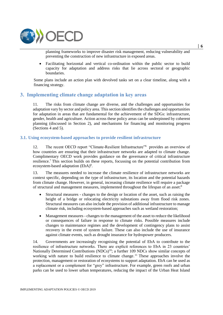

planning frameworks to improve disaster risk management, reducing vulnerability and preventing the construction of new infrastructure in exposed areas.

 Facilitating horizontal and vertical co-ordination within the public sector to build capacity for adaptation and address risks that lie across sectoral or geographic boundaries.

Some plans include an action plan with devolved tasks set on a clear timeline, along with a financing strategy.

## **3. Implementing climate change adaptation in key areas**

11. The risks from climate change are diverse, and the challenges and opportunities for adaptation vary by sector and policy area. This section identifies the challenges and opportunities for adaptation in areas that are fundamental for the achievement of the SDGs: infrastructure, gender, health and agriculture. Action across these policy areas can be underpinned by coherent planning (discussed in Section 2), and mechanisms for financing and monitoring progress (Sections 4 and 5).

#### **3.1. Using ecosystem-based approaches to provide resilient infrastructure**

12. The recent OECD report "Climate-Resilient Infrastructure"<sup>6</sup> provides an overview of how countries are ensuring that their infrastructure networks are adapted to climate change. Complimentary OECD work provides guidance on the governance of critical infrastructure resilience. <sup>7</sup> This section builds on these reports, focussing on the potential contribution from ecosystem-based adaptation (EbA)<sup>8</sup>.

13. The measures needed to increase the climate resilience of infrastructure networks are context specific, depending on the type of infrastructure, its location and the potential hazards from climate change. However, in general, increasing climate resilience will require a package of structural and management measures, implemented throughout the lifespan of an asset:<sup>9</sup>

- Structural measures changes to the design or location of the asset, such as raising the height of a bridge or relocating electricity substations away from flood risk zones. Structural measures can also include the provision of additional infrastructure to manage climate risk, including ecosystem-based approaches such as wetland restoration;
- Management measures changes to the management of the asset to reduce the likelihood or consequences of failure in response to climate risks. Possible measures include changes to maintenance regimes and the development of contingency plans to assist recovery in the event of system failure. These can also include the use of insurance against climate events, such as drought insurance for hydropower producers.

14. Governments are increasingly recognising the potential of EbA to contribute to the resilience of infrastructure networks. There are explicit references to EbA in 23 countries' Nationally Determined Contributions (NDCs)<sup>10</sup>; a further 109 NDCs show similar concepts of working with nature to build resilience to climate change.<sup>11</sup> These approaches involve the protection, management or restoration of ecosystems to support adaptation. EbA can be used as a replacement or a complement for "grey" infrastructure. For example, green roofs and urban parks can be used to lower urban temperatures, reducing the impact of the Urban Heat Island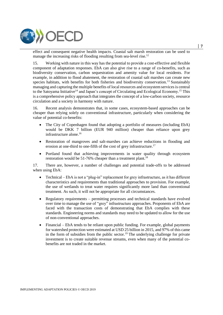

effect and consequent negative health impacts. Coastal salt marsh restoration can be used to manage the increasing risks of flooding resulting from sea-level rise.<sup>12</sup>

15. Working with nature in this way has the potential to provide a cost-effective and flexible component of adaptation responses. EbA can also give rise to a range of co-benefits, such as biodiversity conservation, carbon sequestration and amenity value for local residents. For example, in addition to flood abatement, the restoration of coastal salt marshes can create new species habitats, with benefits for both fisheries and biodiversity conservation.<sup>13</sup> Sustainably managing and capturing the multiple benefits of local resources and ecosystem services is central to the Satoyama Initiative<sup>14</sup> and Japan's concept of Circulating and Ecological Economy.<sup>15</sup> This is a comprehensive policy approach that integrates the concept of a low-carbon society, resource circulation and a society in harmony with nature.

16. Recent analysis demonstrates that, in some cases, ecosystem-based approaches can be cheaper than relying solely on conventional infrastructure, particularly when considering the value of potential co-benefits:

- The City of Copenhagen found that adopting a portfolio of measures (including EbA) would be DKK 7 billion (EUR 940 million) cheaper than reliance upon grey infrastructure alone.<sup>16</sup>
- Restoration of mangroves and salt-marshes can achieve reductions in flooding and erosion at one-third to one-fifth of the cost of grey infrastructure.<sup>17</sup>
- Portland found that achieving improvements in water quality through ecosystem restoration would be  $51-76\%$  cheaper than a treatment plant.<sup>18</sup>

17. There are, however, a number of challenges and potential trade-offs to be addressed when using EbA:

- Technical EbA is not a "plug-in" replacement for grey infrastructure, as it has different characteristics and requirements than traditional approaches to provision. For example, the use of wetlands to treat water requires significantly more land than conventional treatment. As such, it will not be appropriate for all circumstances.
- Regulatory requirements permitting processes and technical standards have evolved over time to manage the use of "grey" infrastructure approaches. Proponents of EbA are faced with the transaction costs of demonstrating that EbA complies with these standards. Engineering norms and standards may need to be updated to allow for the use of non-conventional approaches.
- Financial *–* EbA tends to be reliant upon public funding. For example, global payments for watershed protection were estimated at USD 25 billion in 2015, and 97% of this came in the form of subsidies from the public sector. <sup>19</sup> The underlying challenge for private investment is to create suitable revenue streams, even when many of the potential cobenefits are not traded in the market.

**│ 7**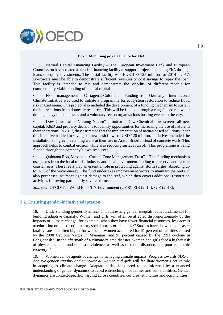

#### **Box 1. Mobilising private finance for EbA**

Natural Capital Financing Facility - The European Investment Bank and European Commission have created a blended financing facility to support projects including EbA through loans or equity investments. The initial facility was EUR 100-125 million for 2014 - 2017. Borrowers must be able to demonstrate sufficient revenues or cost savings to repay the loan. This facility is intended to test and demonstrate the viability of different models for commercially-viable funding of natural capital

• Flood management in Cartagena, Colombia – Funding from Germany's International Climate Initiative was used to initiate a programme for ecosystem restoration to reduce flood risk in Cartagena. This project also included the development of a funding mechanism to sustain the interventions from domestic resources. This will be funded through a ring-fenced rainwater drainage levy on businesses and a voluntary fee on organisations hosting events in the city.

• Dow Chemical's "Valuing Nature" initiative – Dow Chemical now screens all new capital, R&D and property decisions to identify opportunities for increasing the use of nature in their operations. In 2017, they estimated that the implementation of nature-based solutions under this initiative had led to savings or new cash flows of USD 120 million. Initiatives included the installation of "green" retaining walls at their site in Aratu, Brazil instead of concrete walls. This approach helps to combat erosion while also reducing surface run off. This programme is being funded through the company's own resources.

• Quintana Roo, Mexico's "Coastal Zone Management Trust" – This funding mechanism uses taxes from the local tourist industry and local government funding to preserve and restore coastal reefs. These reefs play an essential role in protecting against storm surges, absorbing up to 97% of the wave energy. The fund undertakes improvement works to maintain the reefs. It also purchases insurance against damage to the reef, which then covers additional restoration activities following particularly severe storms.

*Sources:* OECD/The World Bank/UN Environment (2018); EIB (2014); GIZ (2018).

#### **3.2. Ensuring gender-inclusive adaptation**

18. Understanding gender dynamics and addressing gender inequalities is fundamental for building adaptive capacity. Women and girls will often be affected disproportionately by the impacts of climate change, for example, when they have fewer financial resources, less access to education or face discriminatory social norms or practices.<sup>20</sup> Studies have shown that disaster fatality rates are often higher for women – women accounted for 61 percent of fatalities caused by the 2008 Cyclone Nargis in Myanmar, and 91 percent caused by the 1991 cyclone in Bangladesh.<sup>21</sup> In the aftermath of a climate-related disaster, women and girls face a higher risk of physical, sexual, and domestic violence, as well as of mood disorders and poor economic recovery.<sup>22</sup>

19. Women can be agents of change in managing climate impacts. Progress towards *SDG 5: Achieve gender equality and empower all women and girls* will facilitate women's active role in adapting to climate change*.* Adaptation decisions need to be informed by a nuanced understanding of gender dynamics to avoid entrenching inequalities and vulnerabilities. Gender dynamics are context-specific, varying across countries, cultures, ethnicities and communities.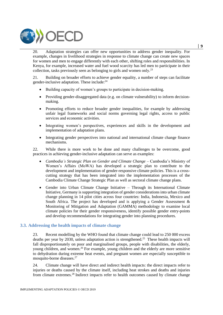

20. Adaptation strategies can offer new opportunities to address gender inequality. For example, changes in livelihood strategies in response to climate change can create new spaces for women and men to engage differently with each other, shifting roles and responsibilities. In Kenya, for example, increased water and fuel wood scarcity has led men to participate in their collection, tasks previously seen as belonging to girls and women only.<sup>23</sup>

21. Building on broader efforts to achieve gender equality, a number of steps can facilitate gender-inclusive adaptation. These include:<sup>24</sup>

- Building capacity of women's groups to participate in decision-making.
- Providing gender-disaggregated data (e.g. on climate vulnerability) to inform decisionmaking.
- Promoting efforts to reduce broader gender inequalities, for example by addressing unfair legal frameworks and social norms governing legal rights, access to public services and economic activities.
- Integrating women's perspectives, experiences and skills in the development and implementation of adaptation plans.
- Integrating gender perspectives into national and international climate change finance mechanisms.

22. While there is more work to be done and many challenges to be overcome, good practices in achieving gender-inclusive adaptation can serve as examples:

- *Cambodia's Strategic Plan on Gender and Climate Change* Cambodia's Ministry of Women's Affairs (MoWA) has developed a strategic plan to contribute to the development and implementation of gender-responsive climate policies. This is a crosscutting strategy that has been integrated into the implementation processes of the Cambodia Climate Change Strategic Plan as well as sectoral climate change plans.
- Gender into Urban Climate Change Initiative Through its International Climate Initiative, Germany is supporting integration of gender considerations into urban climate change planning in 14 pilot cities across four countries: India, Indonesia, Mexico and South Africa. The project has developed and is applying a Gender Assessment & Monitoring of Mitigation and Adaptation (GAMMA) methodology to examine local climate policies for their gender responsiveness, identify possible gender entry-points and develop recommendations for integrating gender into planning procedures.

#### **3.3. Addressing the health impacts of climate change**

23. Recent modelling by the WHO found that climate change could lead to 250 000 excess deaths per year by 2030, unless adaptation action is strengthened.<sup>25</sup> These health impacts will fall disproportionately on poor and marginalised groups, people with disabilities, the elderly, young children, and women.<sup>26</sup> For example, young children and the elderly are more sensitive to dehydration during extreme heat events, and pregnant women are especially susceptible to mosquito-borne diseases. 27

24. Climate change will have direct and indirect health impacts: the direct impacts refer to injuries or deaths caused by the climate itself, including heat strokes and deaths and injuries from climate extremes.<sup>28</sup> Indirect impacts refer to health outcomes caused by climate change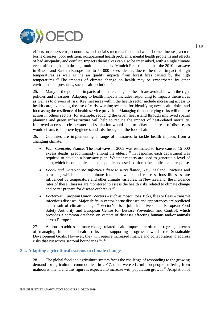

effects on ecosystems, economies, and social structures: food- and water-borne illnesses, vectorborne diseases, poor nutrition, occupational health problems, mental health problems and effects of bad air-quality and conflict. Impacts themselves can also be interlinked, with a single climate event affecting health through multiple channels. Munich Re estimated that the 2010 heatwave in Russia and Eastern Europe lead to 56 000 excess deaths, due to the direct impact of high temperatures as well as the air quality impacts from forest fires caused by the high temperatures. <sup>29</sup> The impacts of climate change on health may be exacerbated by other environmental pressures, such as air pollution. <sup>30</sup>

25. Many of the potential impacts of climate change on health are avoidable with the right policies and measures. Adapting to health impacts includes responding to impacts themselves as well as to drivers of risk. Key measures within the health sector include increasing access to health care, expanding the use of early warning systems for identifying new health risks, and increasing the resilience of health service provision. Managing the underlying risks will require action in others sectors: for example, reducing the urban heat island through improved spatial planning and green infrastructure will help to reduce the impact of heat-related mortality. Improved access to clean water and sanitation would help to offset the spread of disease, as would efforts to improve hygiene standards throughout the food chain.

26. Countries are implementing a range of measures to tackle health impacts from a changing climate:

- *Plan Canicule*, France: The heatwave in 2003 was estimated to have caused 15 000 excess deaths, predominantly among the elderly.<sup>31</sup> In response, each department was required to develop a heatwave plan. Weather reports are used to generate a level of alert, which is communicated to the public and used to inform the public health response.
- *Food- and water-borne infectious disease surveillance*, New Zealand: Bacteria and parasites, which that contaminate food and water and cause serious illnesses, are influenced by temperature and other climate variables. In New Zealand, the incidence rates of these illnesses are monitored to assess the health risks related to climate change and better prepare for disease outbreaks.<sup>32</sup>
- *VectorNet*, European Union: Vectors such as mosquitoes, ticks, flies or fleas transmit infectious diseases. Major shifts in vector-borne diseases and appearances are predicted as a result of climate change. <sup>33</sup> VectorNet is a joint initiative of the European Food Safety Authority and European Centre for Disease Prevention and Control, which provides a common database on vectors of diseases affecting humans and/or animals across Europe.<sup>34</sup>

27. Actions to address climate change-related health impacts are often no-regrets, in terms of managing immediate health risks and supporting progress towards the Sustainable Development Goals. However, they will require increased finance and collaboration to address risks that cut across sectoral boundaries.<sup>35</sup> <sup>36</sup>

### **3.4. Adapting agricultural systems to climate change**

28. The global food and agriculture system faces the challenge of responding to the growing demand for agricultural commodities. In 2017, there were 812 million people suffering from malnourishment, and this figure is expected to increase with population growth.<sup>37</sup> Adaptation of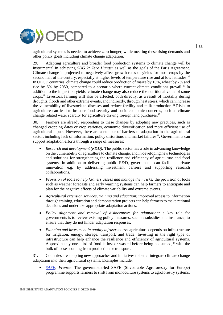

agricultural systems is needed to achieve zero hunger, while meeting these rising demands and other policy goals including climate change adaptation.

29. Adapting agriculture and broader food production systems to climate change will be instrumental in achieving *SDG 2: Zero Hunger* as well as the goals of the Paris Agreement. Climate change is projected to negatively affect growth rates of yields for most crops by the second half of the century, especially at higher levels of temperature rise and at low latitudes.<sup>38</sup> In OECD countries, climate change could reduce production of maize by 10%, wheat by 7% and rice by 6% by 2050, compared to a scenario where current climate conditions prevail.<sup>39</sup> In addition to the impact on yields, climate change may also reduce the nutritional value of some crops.<sup>40</sup> Livestock farming will also be affected, both directly, as a result of mortality during droughts, floods and other extreme events, and indirectly, through heat stress, which can increase the vulnerability of livestock to diseases and reduce fertility and milk production.<sup>41</sup> Risks to agriculture can lead to broader food security and socio-economic concerns, such as climate change related water scarcity for agriculture driving foreign land purchases.<sup>42</sup>

30. Farmers are already responding to these changes by adopting new practices, such as changed cropping dates or crop varieties, economic diversification and more efficient use of agricultural inputs. However, there are a number of barriers to adaptation in the agricultural sector, including lack of information, policy distortions and market failures<sup>43</sup>. Governments can support adaptation efforts through a range of measures:

- *Research and development (R&D):* The public sector has a role in advancing knowledge on the vulnerability of agriculture to climate change, and in developing new technologies and solutions for strengthening the resilience and efficiency of agriculture and food systems. In addition to delivering public R&D, governments can facilitate private innovation e.g. by addressing investment barriers and supporting research collaborations.
- *Provision of tools to help farmers assess and manage their risks:* the provision of tools such as weather forecasts and early warning systems can help farmers to anticipate and plan for the negative effects of climate variability and extreme events.
- *Agricultural extension services, training and education:* improved access to information through training, education and demonstration projects can help farmers to make rational decisions and undertake appropriate adaptation actions.
- *Policy alignment and removal of disincentives for adaptation:* a key role for governments is to review existing policy measures, such as subsidies and insurance, to ensure that they do not hinder adaptation responses.
- *Planning and investment in quality infrastructure:* agriculture depends on infrastructure for irrigation, energy, storage, transport, and trade. Investing in the right type of infrastructure can help enhance the resilience and efficiency of agricultural systems. Approximately one-third of food is lost or wasted before being consumed, $44$  with the bulk of losses coming from production or transport.

31. Countries are adopting new approaches and initiatives to better integrate climate change adaptation into their agricultural systems. Examples include:

 *SAFE, France:* The government-led SAFE (Silvoarable Agroforestry for Europe) programme supports farmers to shift from monoculture systems to agroforestry systems. **│ 11**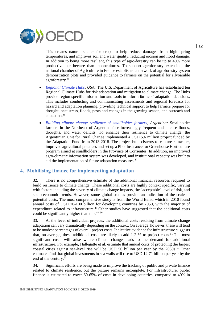

This creates natural shelter for crops to help reduce damages from high spring temperatures, and improves soil and water quality, reducing erosion and flood damage. In addition to being more resilient, this type of agro-forestry can be up to 40% more productive per hectare than monocultures. To support agroforestry extension, the national chamber of Agriculture in France established a network of agroforestry system demonstration plots and provided guidance to farmers on the potential for silvoarable agroforestry.<sup>45</sup>

- *Regional Climate Hubs, USA:* The U.S. Department of Agriculture has established ten Regional Climate Hubs for risk adaptation and mitigation to climate change. The Hubs provide region-specific information and tools to inform farmers' adaptation decisions. This includes conducting and communicating assessments and regional forecasts for hazard and adaptation planning, providing technical support to help farmers prepare for drought, heat stress, floods, pests and changes in the growing season, and outreach and education. 46
- *Building climate change resilience of smallholder farmers, Argentina:* Smallholder farmers in the Northeast of Argentina face increasingly frequent and intense floods, droughts, and water deficits. To enhance their resilience to climate change, the Argentinian Unit for Rural Change implemented a USD 5.6 million project funded by the Adaptation Fund from 2013-2018. The project built cisterns to capture rainwater, improved agricultural practices and set up a Pilot Insurance for Greenhouse Horticulture program aimed at smallholders in the Province of Corrientes. In addition, an improved agro-climatic information system was developed, and institutional capacity was built to aid the implementation of future adaptation measures.<sup>47</sup>

# **4. Mobilising finance for implementing adaptation**

32. There is no comprehensive estimate of the additional financial resources required to build resilience to climate change. These additional costs are highly context specific, varying with factors including the severity of climate change impacts, the "acceptable" level of risk, and socio-economic trends. However, some global studies provide an indication of the scale of potential costs. The most comprehensive study is from the World Bank, which in 2010 found annual costs of USD 70-100 billion for developing countries by 2050, with the majority of expenditure related to infrastructure.<sup>48</sup> Other studies have suggested that the additional costs could be significantly higher than this.<sup>49 50</sup>

33. At the level of individual projects, the additional costs resulting from climate change adaptation can vary dramatically depending on the context. On average, however, these will tend to be modest percentages of overall project costs. Indicative evidence for infrastructure suggests that, on average, these additional costs are likely to add  $1-2$  % to project costs.<sup>51</sup> The most significant costs will arise where climate change leads to the demand for additional infrastructure. For example, Hallegatte et al. estimate that annual costs of protecting the largest coastal cities against sea-level rise will be USD 50 billion per year by the 2050s. <sup>52</sup> Other estimates find that global investments in sea walls will rise to USD 12-71 billion per year by the end of the century.<sup>53</sup>

34. Significant efforts are being made to improve the tracking of public and private finance related to climate resilience, but the picture remains incomplete. For infrastructure, public finance is estimated to cover 60-65% of costs in developing countries, compared to 40% in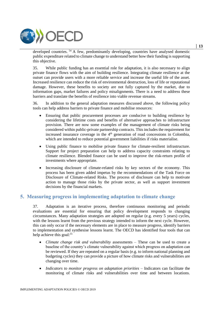

developed countries.<sup>54</sup> A few, predominantly developing, countries have analysed domestic public expenditure related to climate change to understand better how their funding is supporting this objective.

35. While public funding has an essential role for adaptation, it is also necessary to align private finance flows with the aim of building resilience. Integrating climate resilience at the outset can provide users with a more reliable service and increase the useful life of the asset. Increased resilience can reduce the risk of environmental destruction, loss of life or reputational damage. However, these benefits to society are not fully captured by the market, due to information gaps, market failures and policy misalignments. There is a need to address these barriers and translate the benefits of resilience into viable revenue streams.

36. In addition to the general adaptation measures discussed above, the following policy tools can help address barriers to private finance and mobilise resources:

- Ensuring that public procurement processes are conducive to building resilience by considering the lifetime costs and benefits of alternative approaches to infrastructure provision. There are now some examples of the management of climate risks being considered within public-private partnership contracts. This includes the requirement for increased insurance coverage in the 4<sup>th</sup> generation of road concessions in Colombia, which are intended to reduce potential government liabilities if risks materialise.
- Using public finance to mobilise private finance for climate-resilient infrastructure. Support for project preparation can help to address capacity constraints relating to climate resilience. Blended finance can be used to improve the risk-return profile of investments where appropriate.
- Increasing disclosure of climate-related risks by key sectors of the economy. This process has been given added impetus by the recommendations of the Task Force on Disclosure of Climate-related Risks. The process of disclosure can help to motivate action to manage those risks by the private sector, as well as support investment decisions by the financial markets.

# **5. Measuring progress in implementing adaptation to climate change**

37. Adaptation is an iterative process, therefore continuous monitoring and periodic evaluations are essential for ensuring that policy development responds to changing circumstances. Many adaptation strategies are adopted on regular (e.g. every 5 years) cycles, with the lessons learnt from the previous strategy intended to inform the next cycle. However, this can only occur if the necessary elements are in place to measure progress, identify barriers to implementation and synthesise lessons learnt. The OECD has identified four tools that can help achieve this goal:<sup>55</sup>

- *Climate change risk and vulnerability* assessments These can be used to create a baseline of the country's climate vulnerability against which progress on adaptation can be reviewed. If they are repeated on a regular basis (e.g. to inform national planning and budgeting cycles) they can provide a picture of how climate risks and vulnerabilities are changing over time.
- *Indicators to monitor progress on adaptation priorities* Indicators can facilitate the monitoring of climate risks and vulnerabilities over time and between locations.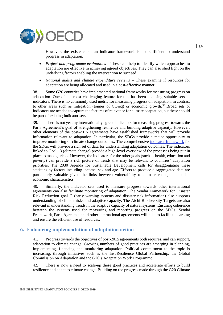

However, the existence of an indicator framework is not sufficient to understand progress in adaptation.

- *Project and programme evaluations* These can help to identify which approaches to adaptation are effective in achieving agreed objectives. They can also shed light on the underlying factors enabling the intervention to succeed.
- *National audits and climate expenditure reviews* These examine if resources for adaptation are being allocated and used in a cost-effective manner.

38. Some G20 countries have implemented national frameworks for measuring progress on adaptation. One of the most challenging feature for this has been choosing suitable sets of indicators. There is no commonly used metric for measuring progress on adaptation, in contrast to other areas such as mitigation (tonnes of  $CO<sub>2</sub>eq$ ) or economic growth.<sup>56</sup> Broad sets of indicators are needed to capture the features of relevance for climate adaptation, but these should be part of existing indicator sets.

39. There is not yet any internationally agreed indicators for measuring progress towards the Paris Agreement's goal of strengthening resilience and building adaptive capacity. However, other elements of the post-2015 agreements have established frameworks that will provide information relevant to adaptation. In particular, the SDGs provide a major opportunity to improve monitoring of climate change outcomes. The comprehensive [indicator framework](https://unstats.un.org/sdgs/indicators/Global%20Indicator%20Framework%20after%20refinement_Eng.pdf) for the SDGs will provide a rich set of data for understanding adaptation outcomes. The indicators linked to Goal 13 (climate change) provide a high-level overview of the processes being put in place to manage risks. However, the indicators for the other goals (such as health, education and poverty) can provide a rich picture of trends that may be relevant to countries' adaptation priorities. The 2030 Agenda for Sustainable Development calls for disaggregating these statistics by factors including income, sex and age. Efforts to produce disaggregated data are particularly valuable given the links between vulnerability to climate change and socioeconomic characteristics.

40. Similarly, the indicator sets used to measure progress towards other international agreements can also facilitate monitoring of adaptation. The Sendai Framework for Disaster Risk Reduction goal G (early warning systems and disaster risk information) also supports understanding of climate risks and adaptive capacity. The Aichi Biodiversity Targets are also relevant in understanding trends in the adaptive capacity of natural systems. Ensuring coherence between the systems used for measuring and reporting progress on the SDGs, Sendai Framework, Paris Agreement and other international agreements will help to facilitate learning and ensure the efficient use of resources.

# **6. Enhancing implementation of adaptation action**

41. Progress towards the objectives of post-2015 agreements both requires, and can support, adaptation to climate change. Growing numbers of good practices are emerging in planning, implementing, financing and monitoring adaptation. Political commitment to the topic is increasing, through initiatives such as the InsuResilience Global Partnership, the Global Commission on Adaptation and the G20's Adaptation Work Programme.

42. There is now a need to scale-up these good practices and accelerate efforts to build resilience and adapt to climate change. Building on the progress made through the G20 Climate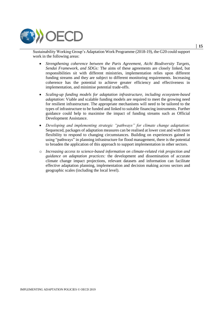

Sustainability Working Group's Adaptation Work Programme (2018-19), the G20 could support work in the following areas:

- *Strengthening coherence between the Paris Agreement, Aichi Biodiversity Targets, Sendai Framework, and SDGs:* The aims of these agreements are closely linked, but responsibilities sit with different ministries, implementation relies upon different funding streams and they are subject to different monitoring requirements. Increasing coherence has the potential to achieve greater efficiency and effectiveness in implementation, and minimise potential trade-offs.
- *Scaling-up funding models for adaptation infrastructure, including ecosystem-based adaptation*: Viable and scalable funding models are required to meet the growing need for resilient infrastructure. The appropriate mechanisms will need to be tailored to the types of infrastructure to be funded and linked to suitable financing instruments. Further guidance could help to maximise the impact of funding streams such as Official Development Assistance.
- *Developing and implementing strategic "pathways" for climate change adaptation:* Sequenced, packages of adaptation measures can be realised at lower cost and with more flexibility to respond to changing circumstances. Building on experiences gained in using "pathways" in planning infrastructure for flood management, there is the potential to broaden the application of this approach to support implementation in other sectors.
- o *Increasing access to science-based information on climate-related risk projection and guidance on adaptation practices:* the development and dissemination of accurate climate change impact projections, relevant datasets and information can facilitate effective adaptation planning, implementation and decision making across sectors and geographic scales (including the local level).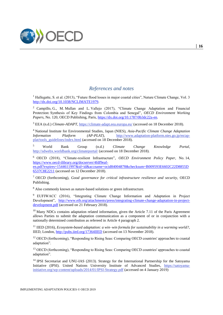

# *References and notes*

<sup>1</sup> Hallegatte, S. et al. (2013), "Future flood losses in major coastal cities", Nature Climate Change, Vol. 3 http://dx.doi.org/10.1038/NCLIMATE1979.

<sup>2</sup> Campillo, G., M. Mullan and L. Vallejo (2017), "Climate Change Adaptation and Financial Protection: Synthesis of Key Findings from Colombia and Senegal"*, OECD Environment Working Papers*, No. 120, OECD Publishing, Paris, https://dx.doi.org/10.1787/0b3dc22a-en.

<sup>3</sup> EEA (n.d.) *Climate-ADAPT*,<https://climate-adapt.eea.europa.eu/> (accessed on 18 December 2018).

<sup>4</sup> National Institute for Environmental Studies, Japan (NIES), *Asia-Pacific Climate Change Adaptation Information Platform (AP-PLAT)*, **http://www.adaptation-platform.nies.go.jp/en/ap-***Information Platform (AP-PLAT),* [http://www.adaptation-platform.nies.go.jp/en/ap](http://www.adaptation-platform.nies.go.jp/en/ap-plat/tools_guidelines/index.html)[plat/tools\\_guidelines/index.html](http://www.adaptation-platform.nies.go.jp/en/ap-plat/tools_guidelines/index.html) (accessed on 18 December 2018).

<sup>5</sup> World Bank Group (n.d.) *Climate Change Knowledge Portal*, <http://sdwebx.worldbank.org/climateportal/> (accessed on 18 December 2018).

<sup>6</sup> OECD (2018), "Climate-resilient Infrastructure"*, OECD Environment Policy Paper*, No. 14, https://www.oecd-ilibrary.org/docserver/4fdf9eaf-

en.pdf?expires=1544611997&id=id&accname=ocid84004878&checksum=B009593E6602C22D8855D 6537C8E2211 (accessed on 12 December 2018).

<sup>7</sup> OECD (forthcoming), *Good governance for critical infrastructure resilience and security*, OECD Publishing.

<sup>8</sup> Also commonly known as nature-based solutions or green infrastructure.

<sup>9</sup> EUFIWACC (2016), "Integrating Climate Change Information and Adaptation in Project Development", http://www.eib.org/attachments/press/integrating-climate-change-adaptation-in-projectdevelopment.pdf (accessed on 21 February 2018).

 $10$  Many NDCs contains adaptation related information, given the Article 7.11 of the Paris Agreement allows Parties to submit the adaptation communication as a component of or in conjunction with a nationally determined contribution as refereed in Article 4 paragraph 2.

<sup>11</sup> IIED (2016), *Ecosystem-based adaptation: a win–win formula for sustainability in a warming world?*, IIED, London, http://pubs.iied.org/17364IIED (accessed on 13 November 2018).

<sup>12</sup> OECD (forthcoming), "Responding to Rising Seas: Comparing OECD countries' approaches to coastal adaptation".

<sup>13</sup> OECD (forthcoming), "Responding to Rising Seas: Comparing OECD countries' approaches to coastal adaptation".

<sup>14</sup> IPSI Secretariat and UNU-IAS (2013). Strategy for the International Partnership for the Satoyama Initiative (IPSI). United Nations University Institute of Advanced Studies, [https://satoyama](https://satoyama-initiative.org/wp-content/uploads/2014/01/IPSI-Strategy.pdf)[initiative.org/wp-content/uploads/2014/01/IPSI-Strategy.pdf](https://satoyama-initiative.org/wp-content/uploads/2014/01/IPSI-Strategy.pdf) (accessed on 4 January 2019)

IMPLEMENTING ADAPTATION POLICIES © OECD 2019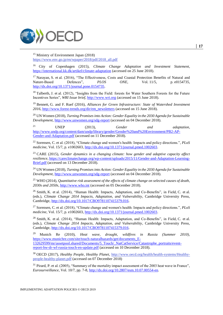

<sup>15</sup> Ministry of Environment Japan (2018) [https://www.env.go.jp/en/wpaper/2018/pdf/2018\\_all.pdf](https://www.env.go.jp/en/wpaper/2018/pdf/2018_all.pdf)

<sup>16</sup> City of Copenhagen (2015), *Climate Change Adaptation and Investment Statement*, https://international.kk.dk/artikel/climate-adaptation (accessed on 25 June 2018).

<sup>17</sup> Narayan, S. et al. (2016), "The Effectiveness, Costs and Coastal Protection Benefits of Natural and Nature-Based Defences", *PLOS ONE*, Vol. 11/5, p. e0154735, http://dx.doi.org/10.1371/journal.pone.0154735.

<sup>18</sup> Talberth, J. et al. (2012), "Insights from the Field: forests for Water Southern Forests for the Future Incentives Series"*, WRI Issue brief*, http://www.wri.org (accessed on 15 June 2018).

<sup>19</sup> Bennett, G. and F. Ruef (2016), *Alliances for Green Infrastructure: State of Watershed Investment 2016*, http://www.forest-trends.org/dir/em\_newsletters (accessed on 15 June 2018).

<sup>20</sup> UN Women (2018), *Turning Promises into Action: Gender Equality in the 2030 Agenda for Sustainable Development*, http://www.unwomen.org/sdg-report (accessed on 04 December 2018).

<sup>21</sup> UNEP (2013), *Gender and adaptation*, http://www.undp.org/content/dam/undp/library/gender/Gender%20and%20Environment/PB2-AP-Gender-and-Adaptation.pdf (accessed on 11 December 2018).

<sup>22</sup> Sorensen, C. et al. (2018), "Climate change and women's health: Impacts and policy directions.", *PLoS medicine*, Vol. 15/7, p. e1002603, http://dx.doi.org/10.1371/journal.pmed.1002603.

<sup>23</sup> CARE (2015), *Gender dynamics in a changing climate: how gender and adaptive capacity affect resilience*, https://careclimatechange.org/wp-content/uploads/2015/11/Gender-and-Adaptation-Learning-Brief.pdf (accessed on 13 December 2018).

<sup>24</sup> UN Women (2018), *Turning Promises into Action: Gender Equality in the 2030 Agenda for Sustainable Development*, http://www.unwomen.org/sdg-report (accessed on 04 December 2018).

<sup>25</sup> WHO (2014), *Quantitative risk assessment of the effects of climate change on selected causes of death, 2030s and 2050s*, http://www.who.int (accessed on 05 December 2018).

<sup>26</sup> Smith, K. et al. (2014), "Human Health: Impacts, Adaptation, and Co-Benefits", in Field, C. et al. (eds.), *Climate Change 2014 Impacts, Adaptation, and Vulnerability*, Cambridge University Press, Cambridge, http://dx.doi.org/10.1017/CBO9781107415379.016.

<sup>27</sup> Sorensen, C. et al. (2018), "Climate change and women's health: Impacts and policy directions.", *PLoS medicine*, Vol. 15/7, p. e1002603, http://dx.doi.org/10.1371/journal.pmed.1002603.

<sup>28</sup> Smith, K. et al. (2014), "Human Health: Impacts, Adaptation, and Co-Benefits", in Field, C. et al. (eds.), *Climate Change 2014 Impacts, Adaptation, and Vulnerability*, Cambridge University Press, Cambridge, http://dx.doi.org/10.1017/CBO9781107415379.016.

<sup>29</sup> Munich Re (2010), *Heat wave, drought, wildfires in Russia (Summer 2010)*, https://www.munichre.com/site/touch-naturalhazards/get/documents\_E-132629599/mr/assetpool.shared/Documents/5\_Touch/\_NatCatService/Catastrophe\_portraits/eventreport-hw-dr-wf-russia-touch-en-update.pdf (accessed on 10 December 2018).

<sup>30</sup> OECD (2017), *Healthy People, Healthy Planet,* [http://www.oecd.org/health/health-systems/Healthy](http://www.oecd.org/health/health-systems/Healthy-people-healthy-planet.pdf)[people-healthy-planet.pdf](http://www.oecd.org/health/health-systems/Healthy-people-healthy-planet.pdf) (accessed on 07 December 2018)

<sup>31</sup> Pirard, P. et al. (2005), "Summary of the mortality impact assessment of the 2003 heat wave in France", *Eurosurveillance*, Vol. 10/7, pp. 7-8, http://dx.doi.org/10.2807/esm.10.07.00554-en.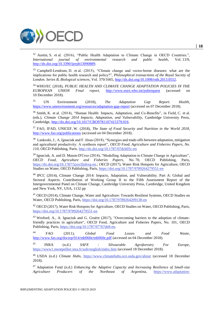

<sup>32</sup> Austin, S. et al. (2016), "Public Health Adaptation to Climate Change in OECD Countries.", *International journal of environmental research and public health*, Vol. 13/9, http://dx.doi.org/10.3390/ijerph13090889.

<sup>33</sup> Campbell-Lendrum, D. et al. (2015), "Climate change and vector-borne diseases: what are the implications for public health research and policy?", *Philosophical transactions of the Royal Society of London. Series B, Biological sciences*, Vol. 370/1665, http://dx.doi.org/10.1098/rstb.2013.0552.

<sup>34</sup> WHO/EC (2018), *PUBLIC HEALTH AND CLIMATE CHANGE ADAPTATION POLICIES IN THE EUROPEAN UNION Final report*, http://www.euro.who.int/pubrequest (accessed on 10 December 2018).

<sup>35</sup> UN Environment (2018), *The Adaptation Gap Report: Health*, https://www.unenvironment.org/resources/adaptation-gap-report (accessed on 07 December 2018).

<sup>36</sup> Smith, K. et al. (2014), "Human Health: Impacts, Adaptation, and Co-Benefits", in Field, C. et al. (eds.), *Climate Change 2014 Impacts, Adaptation, and Vulnerability*, Cambridge University Press, Cambridge, http://dx.doi.org/10.1017/CBO9781107415379.016.

<sup>37</sup> FAO, IFAD, UNICEF, W. (2018), *The State of Food Security and Nutrition in the World 2018*, http://www.fao.org/publications (accessed on 04 December 2018).

<sup>38</sup> Lankoski, J., A. Ignaciuk and F. Jésus (2018), "Synergies and trade-offs between adaptation, mitigation and agricultural productivity: A synthesis report", *OECD Food, Agriculture and Fisheries Papers, No. 110*, OECD Publishing, Paris.<http://dx.doi.org/10.1787/07dcb05c-en>

<sup>39</sup> Ignaciuk, A. and D. Mason-D'Croz (2014), "Modelling Adaptation to Climate Change in Agriculture", *OECD* Food, Agriculture and Fisheries Papers, No. 70, OECD Publishing, Paris, *OECD Food, Agriculture and Fisheries Papers*, No. 70, OECD Publishing, Paris, [https://dx.doi.org/10.1787/5jxrclljnbxq-en.;](https://dx.doi.org/10.1787/5jxrclljnbxq-en) OECD (2017), Water Risk Hotspots for Agriculture, OECD Studies on Water, OECD Publishing, Paris,<https://doi.org/10.1787/9789264279551-en>

<sup>40</sup> IPCC (2014), Climate Change 2014: Impacts, Adaptation, and Vulnerability. Part A: Global and Sectoral Aspects. Contribution of Working Group II to the Fifth Assessment Report of the Intergovernmental Panel on Climate Change, Cambridge University Press, Cambridge, United Kingdom and New York, NY, USA, 1132 pp

<sup>41</sup> OECD (2014), Climate Change, Water and Agriculture: Towards Resilient Systems, OECD Studies on Water, OECD Publishing, Paris,<https://doi.org/10.1787/9789264209138-en>

<sup>42</sup> OECD (2017), Water Risk Hotspots for Agriculture, OECD Studies on Water, OECD Publishing, Paris, <https://doi.org/10.1787/9789264279551-en>

<sup>43</sup> Wreford, A., A. Ignaciuk and G. Gruère (2017), "Overcoming barriers to the adoption of climatefriendly practices in agriculture", OECD Food, Agriculture and Fisheries Papers, No. 101, OECD Publishing, Paris, [https://doi.org/10.1787/97767de8-en.](https://doi.org/10.1787/97767de8-en)

<sup>44</sup> FAO (2011), *Global Food Losses and Food Waste*, http://www.fao.org/docrep/014/mb060e/mb060e.pdf (accessed on 04 December 2018).

<sup>45</sup> INRA (n.d.) *SAFE : Silvoarable Agroforestry For Europe,* <https://www1.montpellier.inra.fr/safe/english/index.htm> (accessed 18 December 2018).

<sup>46</sup> USDA (n.d.) *Climate Hubs*, <https://www.climatehubs.oce.usda.gov/about> (accessed 18 December 2018).

<sup>47</sup> Adaptation Fund (n.d.) *Enhancing the Adaptive Capacity and Increasing Resilience of Small-size Agriculture Producers of the Northeast of Argentina,* [https://www.adaptation-](https://www.adaptation-fund.org/project/enhancing-the-adaptive-capacity-and-increasing-resilience-of-small-scale-agriculture-producers-of-the-northeast-of-argentina/)